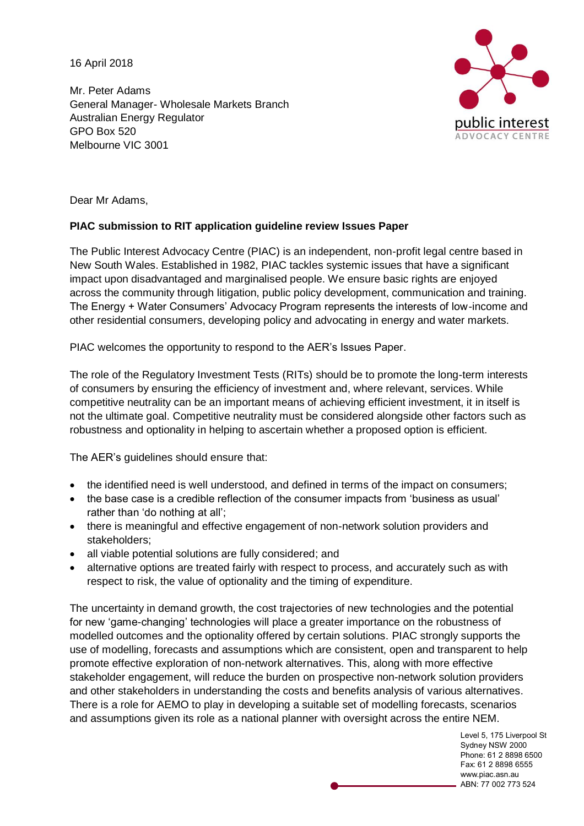16 April 2018

Mr. Peter Adams General Manager- Wholesale Markets Branch Australian Energy Regulator GPO Box 520 Melbourne VIC 3001



Dear Mr Adams,

#### **PIAC submission to RIT application guideline review Issues Paper**

The Public Interest Advocacy Centre (PIAC) is an independent, non-profit legal centre based in New South Wales. Established in 1982, PIAC tackles systemic issues that have a significant impact upon disadvantaged and marginalised people. We ensure basic rights are enjoyed across the community through litigation, public policy development, communication and training. The Energy + Water Consumers' Advocacy Program represents the interests of low-income and other residential consumers, developing policy and advocating in energy and water markets.

PIAC welcomes the opportunity to respond to the AER's Issues Paper.

The role of the Regulatory Investment Tests (RITs) should be to promote the long-term interests of consumers by ensuring the efficiency of investment and, where relevant, services. While competitive neutrality can be an important means of achieving efficient investment, it in itself is not the ultimate goal. Competitive neutrality must be considered alongside other factors such as robustness and optionality in helping to ascertain whether a proposed option is efficient.

The AER's guidelines should ensure that:

- the identified need is well understood, and defined in terms of the impact on consumers;
- the base case is a credible reflection of the consumer impacts from 'business as usual' rather than 'do nothing at all';
- there is meaningful and effective engagement of non-network solution providers and stakeholders;
- all viable potential solutions are fully considered; and
- alternative options are treated fairly with respect to process, and accurately such as with respect to risk, the value of optionality and the timing of expenditure.

The uncertainty in demand growth, the cost trajectories of new technologies and the potential for new 'game-changing' technologies will place a greater importance on the robustness of modelled outcomes and the optionality offered by certain solutions. PIAC strongly supports the use of modelling, forecasts and assumptions which are consistent, open and transparent to help promote effective exploration of non-network alternatives. This, along with more effective stakeholder engagement, will reduce the burden on prospective non-network solution providers and other stakeholders in understanding the costs and benefits analysis of various alternatives. There is a role for AEMO to play in developing a suitable set of modelling forecasts, scenarios and assumptions given its role as a national planner with oversight across the entire NEM.

> Level 5, 175 Liverpool St Sydney NSW 2000 Phone: 61 2 8898 6500 Fax: 61 2 8898 6555 www.piac.asn.au ABN: 77 002 773 524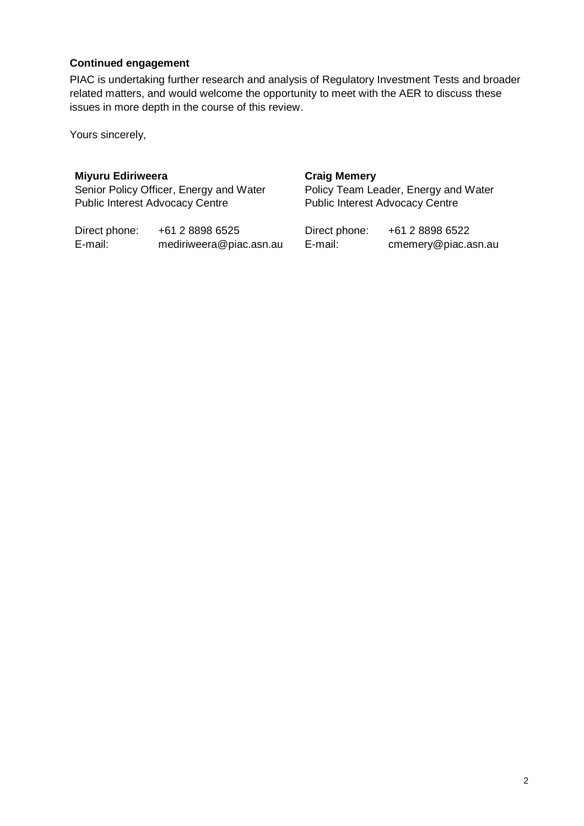#### **Continued engagement**

PIAC is undertaking further research and analysis of Regulatory Investment Tests and broader related matters, and would welcome the opportunity to meet with the AER to discuss these issues in more depth in the course of this review.

Yours sincerely,

#### **Miyuru Ediriweera**

Senior Policy Officer, Energy and Water Public Interest Advocacy Centre

Direct phone: +61 2 8898 6525 E-mail: mediriweera@piac.asn.au

#### **Craig Memery**

Policy Team Leader, Energy and Water Public Interest Advocacy Centre

| Direct phone: | +61 2 8898 6522     |
|---------------|---------------------|
| E-mail:       | cmemery@piac.asn.au |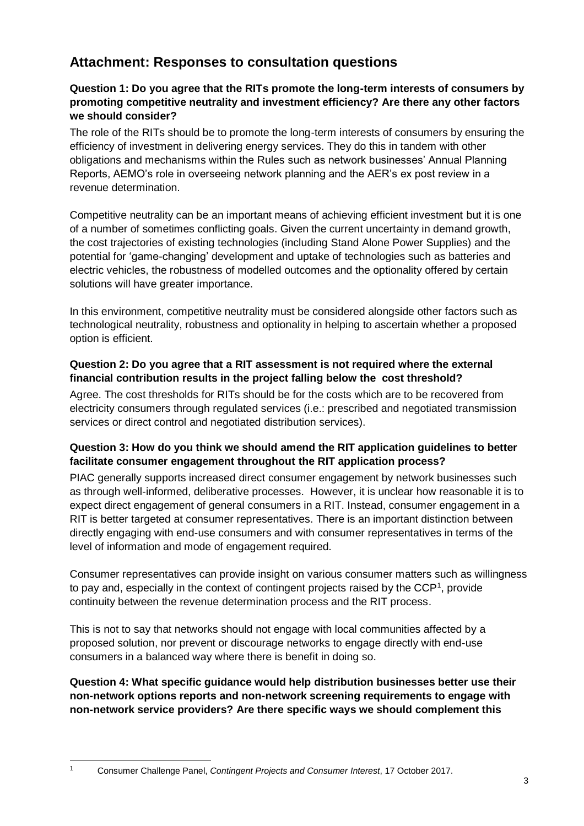# **Attachment: Responses to consultation questions**

# **Question 1: Do you agree that the RITs promote the long-term interests of consumers by promoting competitive neutrality and investment efficiency? Are there any other factors we should consider?**

The role of the RITs should be to promote the long-term interests of consumers by ensuring the efficiency of investment in delivering energy services. They do this in tandem with other obligations and mechanisms within the Rules such as network businesses' Annual Planning Reports, AEMO's role in overseeing network planning and the AER's ex post review in a revenue determination.

Competitive neutrality can be an important means of achieving efficient investment but it is one of a number of sometimes conflicting goals. Given the current uncertainty in demand growth, the cost trajectories of existing technologies (including Stand Alone Power Supplies) and the potential for 'game-changing' development and uptake of technologies such as batteries and electric vehicles, the robustness of modelled outcomes and the optionality offered by certain solutions will have greater importance.

In this environment, competitive neutrality must be considered alongside other factors such as technological neutrality, robustness and optionality in helping to ascertain whether a proposed option is efficient.

#### **Question 2: Do you agree that a RIT assessment is not required where the external financial contribution results in the project falling below the cost threshold?**

Agree. The cost thresholds for RITs should be for the costs which are to be recovered from electricity consumers through regulated services (i.e.: prescribed and negotiated transmission services or direct control and negotiated distribution services).

#### **Question 3: How do you think we should amend the RIT application guidelines to better facilitate consumer engagement throughout the RIT application process?**

PIAC generally supports increased direct consumer engagement by network businesses such as through well-informed, deliberative processes. However, it is unclear how reasonable it is to expect direct engagement of general consumers in a RIT. Instead, consumer engagement in a RIT is better targeted at consumer representatives. There is an important distinction between directly engaging with end-use consumers and with consumer representatives in terms of the level of information and mode of engagement required.

Consumer representatives can provide insight on various consumer matters such as willingness to pay and, especially in the context of contingent projects raised by the  $\mathsf{CCP}^1$ , provide continuity between the revenue determination process and the RIT process.

This is not to say that networks should not engage with local communities affected by a proposed solution, nor prevent or discourage networks to engage directly with end-use consumers in a balanced way where there is benefit in doing so.

**Question 4: What specific guidance would help distribution businesses better use their non-network options reports and non-network screening requirements to engage with non-network service providers? Are there specific ways we should complement this** 

<sup>1</sup> Consumer Challenge Panel, *Contingent Projects and Consumer Interest*, 17 October 2017.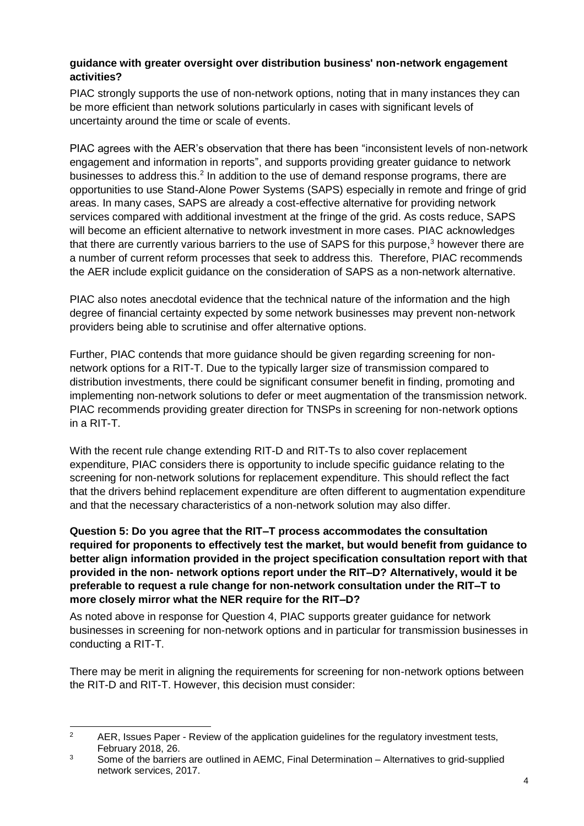#### **guidance with greater oversight over distribution business' non-network engagement activities?**

PIAC strongly supports the use of non-network options, noting that in many instances they can be more efficient than network solutions particularly in cases with significant levels of uncertainty around the time or scale of events.

PIAC agrees with the AER's observation that there has been "inconsistent levels of non-network engagement and information in reports", and supports providing greater guidance to network businesses to address this.<sup>2</sup> In addition to the use of demand response programs, there are opportunities to use Stand-Alone Power Systems (SAPS) especially in remote and fringe of grid areas. In many cases, SAPS are already a cost-effective alternative for providing network services compared with additional investment at the fringe of the grid. As costs reduce, SAPS will become an efficient alternative to network investment in more cases. PIAC acknowledges that there are currently various barriers to the use of SAPS for this purpose,<sup>3</sup> however there are a number of current reform processes that seek to address this. Therefore, PIAC recommends the AER include explicit guidance on the consideration of SAPS as a non-network alternative.

PIAC also notes anecdotal evidence that the technical nature of the information and the high degree of financial certainty expected by some network businesses may prevent non-network providers being able to scrutinise and offer alternative options.

Further, PIAC contends that more guidance should be given regarding screening for nonnetwork options for a RIT-T. Due to the typically larger size of transmission compared to distribution investments, there could be significant consumer benefit in finding, promoting and implementing non-network solutions to defer or meet augmentation of the transmission network. PIAC recommends providing greater direction for TNSPs in screening for non-network options in a RIT-T.

With the recent rule change extending RIT-D and RIT-Ts to also cover replacement expenditure, PIAC considers there is opportunity to include specific guidance relating to the screening for non-network solutions for replacement expenditure. This should reflect the fact that the drivers behind replacement expenditure are often different to augmentation expenditure and that the necessary characteristics of a non-network solution may also differ.

**Question 5: Do you agree that the RIT–T process accommodates the consultation required for proponents to effectively test the market, but would benefit from guidance to better align information provided in the project specification consultation report with that provided in the non- network options report under the RIT–D? Alternatively, would it be preferable to request a rule change for non-network consultation under the RIT–T to more closely mirror what the NER require for the RIT–D?**

As noted above in response for Question 4, PIAC supports greater guidance for network businesses in screening for non-network options and in particular for transmission businesses in conducting a RIT-T.

There may be merit in aligning the requirements for screening for non-network options between the RIT-D and RIT-T. However, this decision must consider:

 $\overline{2}$ AER, Issues Paper - Review of the application guidelines for the regulatory investment tests, February 2018, 26.

 $3 \qquad$  Some of the barriers are outlined in AEMC. Final Determination – Alternatives to grid-supplied network services, 2017.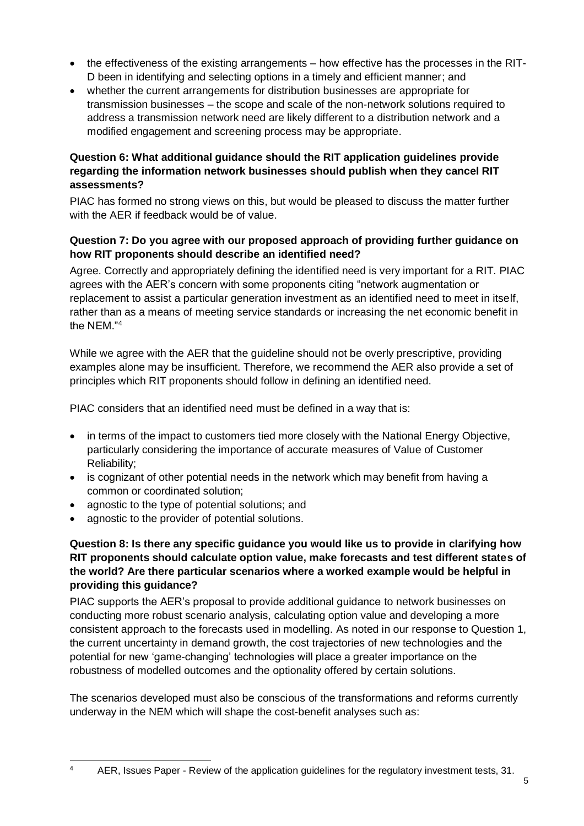- the effectiveness of the existing arrangements how effective has the processes in the RIT-D been in identifying and selecting options in a timely and efficient manner; and
- whether the current arrangements for distribution businesses are appropriate for transmission businesses – the scope and scale of the non-network solutions required to address a transmission network need are likely different to a distribution network and a modified engagement and screening process may be appropriate.

# **Question 6: What additional guidance should the RIT application guidelines provide regarding the information network businesses should publish when they cancel RIT assessments?**

PIAC has formed no strong views on this, but would be pleased to discuss the matter further with the AER if feedback would be of value.

#### **Question 7: Do you agree with our proposed approach of providing further guidance on how RIT proponents should describe an identified need?**

Agree. Correctly and appropriately defining the identified need is very important for a RIT. PIAC agrees with the AER's concern with some proponents citing "network augmentation or replacement to assist a particular generation investment as an identified need to meet in itself, rather than as a means of meeting service standards or increasing the net economic benefit in the NEM."<sup>4</sup>

While we agree with the AER that the guideline should not be overly prescriptive, providing examples alone may be insufficient. Therefore, we recommend the AER also provide a set of principles which RIT proponents should follow in defining an identified need.

PIAC considers that an identified need must be defined in a way that is:

- in terms of the impact to customers tied more closely with the National Energy Objective, particularly considering the importance of accurate measures of Value of Customer Reliability;
- is cognizant of other potential needs in the network which may benefit from having a common or coordinated solution;
- agnostic to the type of potential solutions; and
- agnostic to the provider of potential solutions.

# **Question 8: Is there any specific guidance you would like us to provide in clarifying how RIT proponents should calculate option value, make forecasts and test different states of the world? Are there particular scenarios where a worked example would be helpful in providing this guidance?**

PIAC supports the AER's proposal to provide additional guidance to network businesses on conducting more robust scenario analysis, calculating option value and developing a more consistent approach to the forecasts used in modelling. As noted in our response to Question 1, the current uncertainty in demand growth, the cost trajectories of new technologies and the potential for new 'game-changing' technologies will place a greater importance on the robustness of modelled outcomes and the optionality offered by certain solutions.

The scenarios developed must also be conscious of the transformations and reforms currently underway in the NEM which will shape the cost-benefit analyses such as:

 $\overline{4}$ <sup>4</sup> AER, Issues Paper - Review of the application guidelines for the regulatory investment tests, 31.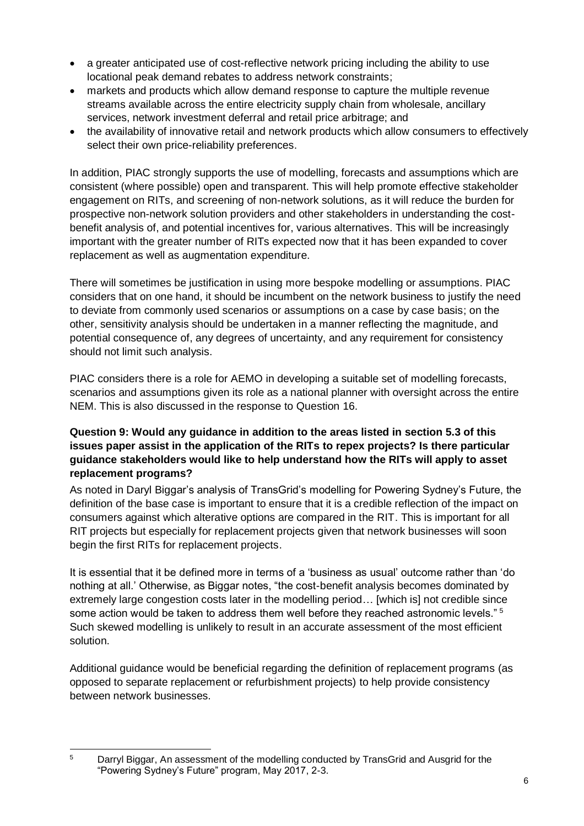- a greater anticipated use of cost-reflective network pricing including the ability to use locational peak demand rebates to address network constraints;
- markets and products which allow demand response to capture the multiple revenue streams available across the entire electricity supply chain from wholesale, ancillary services, network investment deferral and retail price arbitrage; and
- the availability of innovative retail and network products which allow consumers to effectively select their own price-reliability preferences.

In addition, PIAC strongly supports the use of modelling, forecasts and assumptions which are consistent (where possible) open and transparent. This will help promote effective stakeholder engagement on RITs, and screening of non-network solutions, as it will reduce the burden for prospective non-network solution providers and other stakeholders in understanding the costbenefit analysis of, and potential incentives for, various alternatives. This will be increasingly important with the greater number of RITs expected now that it has been expanded to cover replacement as well as augmentation expenditure.

There will sometimes be justification in using more bespoke modelling or assumptions. PIAC considers that on one hand, it should be incumbent on the network business to justify the need to deviate from commonly used scenarios or assumptions on a case by case basis; on the other, sensitivity analysis should be undertaken in a manner reflecting the magnitude, and potential consequence of, any degrees of uncertainty, and any requirement for consistency should not limit such analysis.

PIAC considers there is a role for AEMO in developing a suitable set of modelling forecasts, scenarios and assumptions given its role as a national planner with oversight across the entire NEM. This is also discussed in the response to Question 16.

# **Question 9: Would any guidance in addition to the areas listed in section 5.3 of this issues paper assist in the application of the RITs to repex projects? Is there particular guidance stakeholders would like to help understand how the RITs will apply to asset replacement programs?**

As noted in Daryl Biggar's analysis of TransGrid's modelling for Powering Sydney's Future, the definition of the base case is important to ensure that it is a credible reflection of the impact on consumers against which alterative options are compared in the RIT. This is important for all RIT projects but especially for replacement projects given that network businesses will soon begin the first RITs for replacement projects.

It is essential that it be defined more in terms of a 'business as usual' outcome rather than 'do nothing at all.' Otherwise, as Biggar notes, "the cost-benefit analysis becomes dominated by extremely large congestion costs later in the modelling period... [which is] not credible since some action would be taken to address them well before they reached astronomic levels." <sup>5</sup> Such skewed modelling is unlikely to result in an accurate assessment of the most efficient solution.

Additional guidance would be beneficial regarding the definition of replacement programs (as opposed to separate replacement or refurbishment projects) to help provide consistency between network businesses.

 $\overline{5}$ <sup>5</sup> Darryl Biggar, An assessment of the modelling conducted by TransGrid and Ausgrid for the "Powering Sydney's Future" program, May 2017, 2-3.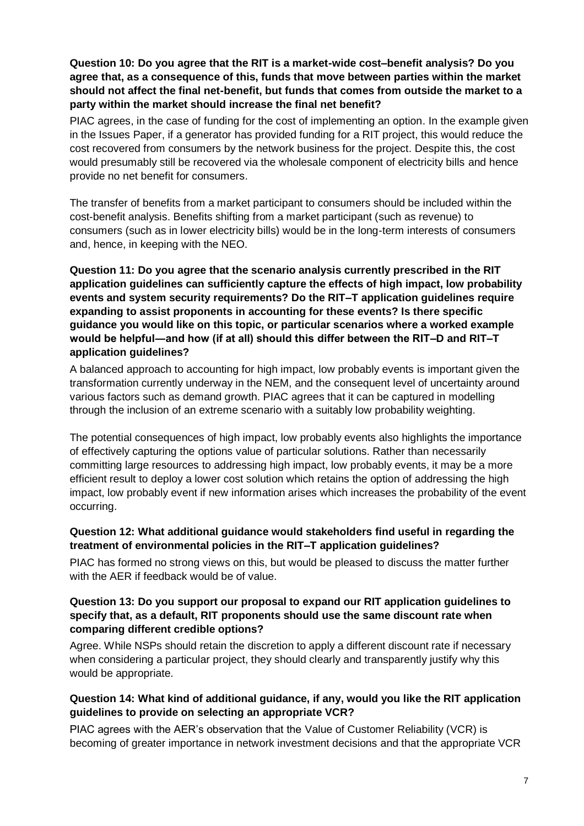#### **Question 10: Do you agree that the RIT is a market-wide cost–benefit analysis? Do you agree that, as a consequence of this, funds that move between parties within the market should not affect the final net-benefit, but funds that comes from outside the market to a party within the market should increase the final net benefit?**

PIAC agrees, in the case of funding for the cost of implementing an option. In the example given in the Issues Paper, if a generator has provided funding for a RIT project, this would reduce the cost recovered from consumers by the network business for the project. Despite this, the cost would presumably still be recovered via the wholesale component of electricity bills and hence provide no net benefit for consumers.

The transfer of benefits from a market participant to consumers should be included within the cost-benefit analysis. Benefits shifting from a market participant (such as revenue) to consumers (such as in lower electricity bills) would be in the long-term interests of consumers and, hence, in keeping with the NEO.

### **Question 11: Do you agree that the scenario analysis currently prescribed in the RIT application guidelines can sufficiently capture the effects of high impact, low probability events and system security requirements? Do the RIT–T application guidelines require expanding to assist proponents in accounting for these events? Is there specific guidance you would like on this topic, or particular scenarios where a worked example would be helpful―and how (if at all) should this differ between the RIT–D and RIT–T application guidelines?**

A balanced approach to accounting for high impact, low probably events is important given the transformation currently underway in the NEM, and the consequent level of uncertainty around various factors such as demand growth. PIAC agrees that it can be captured in modelling through the inclusion of an extreme scenario with a suitably low probability weighting.

The potential consequences of high impact, low probably events also highlights the importance of effectively capturing the options value of particular solutions. Rather than necessarily committing large resources to addressing high impact, low probably events, it may be a more efficient result to deploy a lower cost solution which retains the option of addressing the high impact, low probably event if new information arises which increases the probability of the event occurring.

#### **Question 12: What additional guidance would stakeholders find useful in regarding the treatment of environmental policies in the RIT–T application guidelines?**

PIAC has formed no strong views on this, but would be pleased to discuss the matter further with the AFR if feedback would be of value.

#### **Question 13: Do you support our proposal to expand our RIT application guidelines to specify that, as a default, RIT proponents should use the same discount rate when comparing different credible options?**

Agree. While NSPs should retain the discretion to apply a different discount rate if necessary when considering a particular project, they should clearly and transparently justify why this would be appropriate.

# **Question 14: What kind of additional guidance, if any, would you like the RIT application guidelines to provide on selecting an appropriate VCR?**

PIAC agrees with the AER's observation that the Value of Customer Reliability (VCR) is becoming of greater importance in network investment decisions and that the appropriate VCR